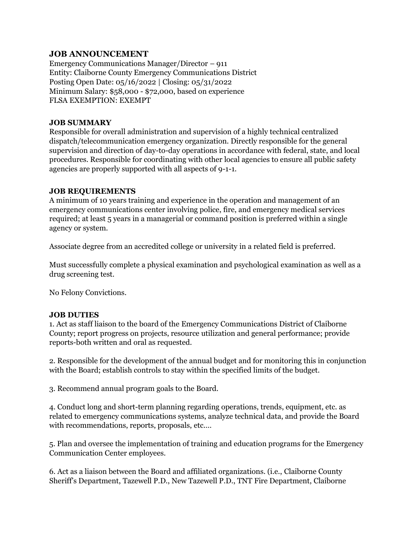## **JOB ANNOUNCEMENT**

Emergency Communications Manager/Director – 911 Entity: Claiborne County Emergency Communications District Posting Open Date: 05/16/2022 | Closing: 05/31/2022 Minimum Salary: \$58,000 - \$72,000, based on experience FLSA EXEMPTION: EXEMPT

#### **JOB SUMMARY**

Responsible for overall administration and supervision of a highly technical centralized dispatch/telecommunication emergency organization. Directly responsible for the general supervision and direction of day-to-day operations in accordance with federal, state, and local procedures. Responsible for coordinating with other local agencies to ensure all public safety agencies are properly supported with all aspects of 9-1-1.

#### **JOB REQUIREMENTS**

A minimum of 10 years training and experience in the operation and management of an emergency communications center involving police, fire, and emergency medical services required; at least 5 years in a managerial or command position is preferred within a single agency or system.

Associate degree from an accredited college or university in a related field is preferred.

Must successfully complete a physical examination and psychological examination as well as a drug screening test.

No Felony Convictions.

### **JOB DUTIES**

1. Act as staff liaison to the board of the Emergency Communications District of Claiborne County; report progress on projects, resource utilization and general performance; provide reports-both written and oral as requested.

2. Responsible for the development of the annual budget and for monitoring this in conjunction with the Board; establish controls to stay within the specified limits of the budget.

3. Recommend annual program goals to the Board.

4. Conduct long and short-term planning regarding operations, trends, equipment, etc. as related to emergency communications systems, analyze technical data, and provide the Board with recommendations, reports, proposals, etc.…

5. Plan and oversee the implementation of training and education programs for the Emergency Communication Center employees.

6. Act as a liaison between the Board and affiliated organizations. (i.e., Claiborne County Sheriff's Department, Tazewell P.D., New Tazewell P.D., TNT Fire Department, Claiborne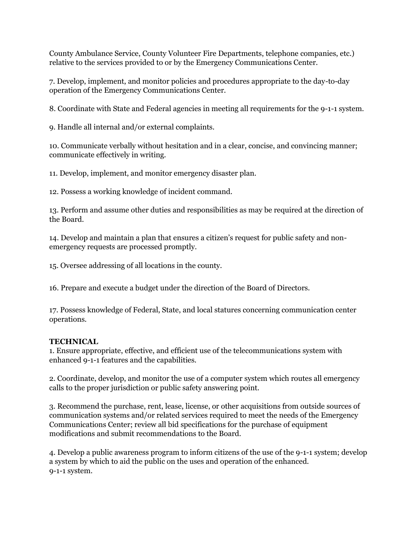County Ambulance Service, County Volunteer Fire Departments, telephone companies, etc.) relative to the services provided to or by the Emergency Communications Center.

7. Develop, implement, and monitor policies and procedures appropriate to the day-to-day operation of the Emergency Communications Center.

8. Coordinate with State and Federal agencies in meeting all requirements for the 9-1-1 system.

9. Handle all internal and/or external complaints.

10. Communicate verbally without hesitation and in a clear, concise, and convincing manner; communicate effectively in writing.

11. Develop, implement, and monitor emergency disaster plan.

12. Possess a working knowledge of incident command.

13. Perform and assume other duties and responsibilities as may be required at the direction of the Board.

14. Develop and maintain a plan that ensures a citizen's request for public safety and nonemergency requests are processed promptly.

15. Oversee addressing of all locations in the county.

16. Prepare and execute a budget under the direction of the Board of Directors.

17. Possess knowledge of Federal, State, and local statures concerning communication center operations.

# **TECHNICAL**

1. Ensure appropriate, effective, and efficient use of the telecommunications system with enhanced 9-1-1 features and the capabilities.

2. Coordinate, develop, and monitor the use of a computer system which routes all emergency calls to the proper jurisdiction or public safety answering point.

3. Recommend the purchase, rent, lease, license, or other acquisitions from outside sources of communication systems and/or related services required to meet the needs of the Emergency Communications Center; review all bid specifications for the purchase of equipment modifications and submit recommendations to the Board.

4. Develop a public awareness program to inform citizens of the use of the 9-1-1 system; develop a system by which to aid the public on the uses and operation of the enhanced. 9-1-1 system.